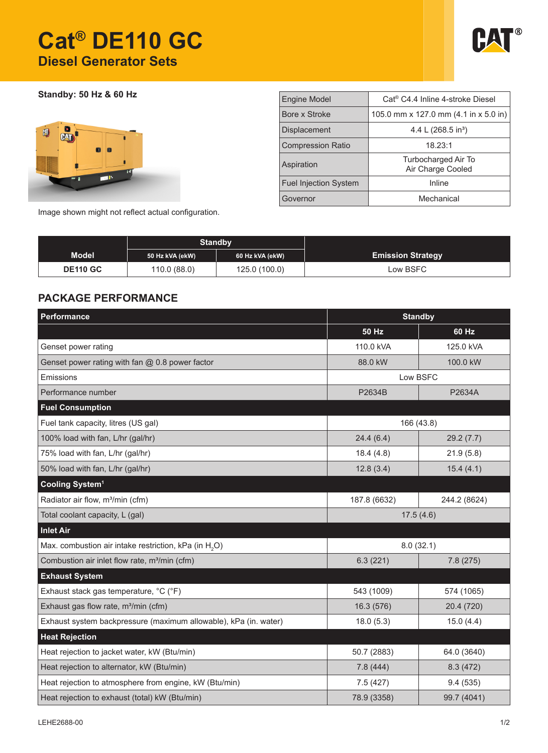# **Cat® DE110 GC Diesel Generator Sets**



**Standby: 50 Hz & 60 Hz**



| <b>Engine Model</b>          | Cat <sup>®</sup> C4.4 Inline 4-stroke Diesel |  |  |  |  |
|------------------------------|----------------------------------------------|--|--|--|--|
| Bore x Stroke                | 105.0 mm x 127.0 mm (4.1 in x 5.0 in)        |  |  |  |  |
| <b>Displacement</b>          | 4.4 L (268.5 in <sup>3</sup> )               |  |  |  |  |
| <b>Compression Ratio</b>     | 18.23:1                                      |  |  |  |  |
| Aspiration                   | Turbocharged Air To<br>Air Charge Cooled     |  |  |  |  |
| <b>Fuel Injection System</b> | Inline                                       |  |  |  |  |
| Governor                     | Mechanical                                   |  |  |  |  |

Image shown might not reflect actual configuration.

|                 | <b>Standby</b>  |                 |                          |
|-----------------|-----------------|-----------------|--------------------------|
| <b>Model</b>    | 50 Hz kVA (ekW) | 60 Hz kVA (ekW) | <b>Emission Strategy</b> |
| <b>DE110 GC</b> | 110.0 (88.0)    | 125.0 (100.0)   | Low BSFC                 |

### **PACKAGE PERFORMANCE**

| Performance<br><b>Standby</b>                                     |                      |              |  |
|-------------------------------------------------------------------|----------------------|--------------|--|
|                                                                   | 50 Hz                | 60 Hz        |  |
| Genset power rating                                               | 110.0 kVA            | 125.0 kVA    |  |
| Genset power rating with fan $@$ 0.8 power factor                 | 88.0 kW              | 100.0 kW     |  |
| Emissions                                                         | Low BSFC             |              |  |
| Performance number                                                | P2634B               | P2634A       |  |
| <b>Fuel Consumption</b>                                           |                      |              |  |
| Fuel tank capacity, litres (US gal)                               | 166 (43.8)           |              |  |
| 100% load with fan, L/hr (gal/hr)                                 | 24.4(6.4)            | 29.2(7.7)    |  |
| 75% load with fan, L/hr (gal/hr)                                  | 18.4(4.8)            | 21.9(5.8)    |  |
| 50% load with fan, L/hr (gal/hr)                                  | 12.8(3.4)            | 15.4(4.1)    |  |
| Cooling System <sup>1</sup>                                       |                      |              |  |
| Radiator air flow, m <sup>3</sup> /min (cfm)                      | 187.8 (6632)         | 244.2 (8624) |  |
| Total coolant capacity, L (gal)                                   | 17.5(4.6)            |              |  |
| <b>Inlet Air</b>                                                  |                      |              |  |
| Max. combustion air intake restriction, kPa (in H <sub>2</sub> O) | 8.0(32.1)            |              |  |
| Combustion air inlet flow rate, m <sup>3</sup> /min (cfm)         | 6.3(221)<br>7.8(275) |              |  |
| <b>Exhaust System</b>                                             |                      |              |  |
| Exhaust stack gas temperature, °C (°F)                            | 543 (1009)           | 574 (1065)   |  |
| Exhaust gas flow rate, m <sup>3</sup> /min (cfm)                  | 16.3 (576)           | 20.4 (720)   |  |
| Exhaust system backpressure (maximum allowable), kPa (in. water)  | 18.0(5.3)            | 15.0(4.4)    |  |
| <b>Heat Rejection</b>                                             |                      |              |  |
| Heat rejection to jacket water, kW (Btu/min)                      | 50.7 (2883)          | 64.0 (3640)  |  |
| Heat rejection to alternator, kW (Btu/min)                        | 7.8(444)             | 8.3(472)     |  |
| Heat rejection to atmosphere from engine, kW (Btu/min)            | 7.5(427)             | 9.4(535)     |  |
| Heat rejection to exhaust (total) kW (Btu/min)                    | 78.9 (3358)          | 99.7 (4041)  |  |